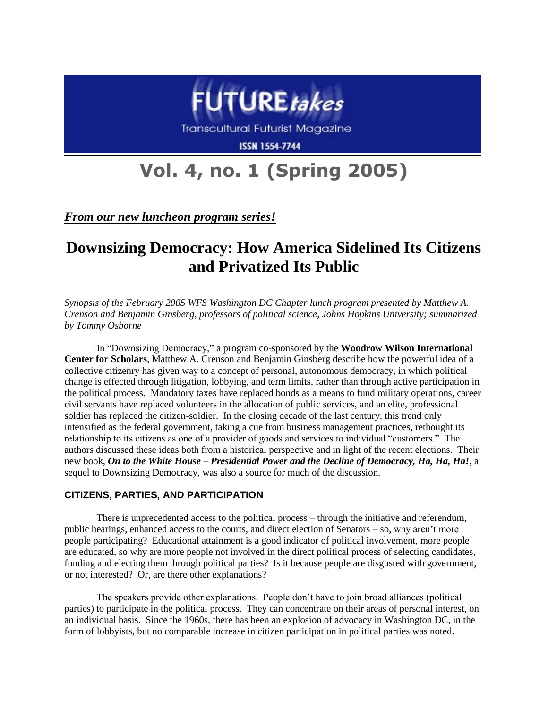

Transcultural Futurist Magazine

**ISSN 1554-7744** 

# **Vol. 4, no. 1 (Spring 2005)**

*From our new luncheon program series!*

# **Downsizing Democracy: How America Sidelined Its Citizens and Privatized Its Public**

*Synopsis of the February 2005 WFS Washington DC Chapter lunch program presented by Matthew A. Crenson and Benjamin Ginsberg, professors of political science, Johns Hopkins University; summarized by Tommy Osborne*

In "Downsizing Democracy," a program co-sponsored by the **Woodrow Wilson International Center for Scholars**, Matthew A. Crenson and Benjamin Ginsberg describe how the powerful idea of a collective citizenry has given way to a concept of personal, autonomous democracy, in which political change is effected through litigation, lobbying, and term limits, rather than through active participation in the political process. Mandatory taxes have replaced bonds as a means to fund military operations, career civil servants have replaced volunteers in the allocation of public services, and an elite, professional soldier has replaced the citizen-soldier. In the closing decade of the last century, this trend only intensified as the federal government, taking a cue from business management practices, rethought its relationship to its citizens as one of a provider of goods and services to individual "customers." The authors discussed these ideas both from a historical perspective and in light of the recent elections. Their new book, *On to the White House – Presidential Power and the Decline of Democracy, Ha, Ha, Ha!*, a sequel to Downsizing Democracy, was also a source for much of the discussion.

# **CITIZENS, PARTIES, AND PARTICIPATION**

There is unprecedented access to the political process – through the initiative and referendum, public hearings, enhanced access to the courts, and direct election of Senators – so, why aren't more people participating? Educational attainment is a good indicator of political involvement, more people are educated, so why are more people not involved in the direct political process of selecting candidates, funding and electing them through political parties? Is it because people are disgusted with government, or not interested? Or, are there other explanations?

The speakers provide other explanations. People don't have to join broad alliances (political parties) to participate in the political process. They can concentrate on their areas of personal interest, on an individual basis. Since the 1960s, there has been an explosion of advocacy in Washington DC, in the form of lobbyists, but no comparable increase in citizen participation in political parties was noted.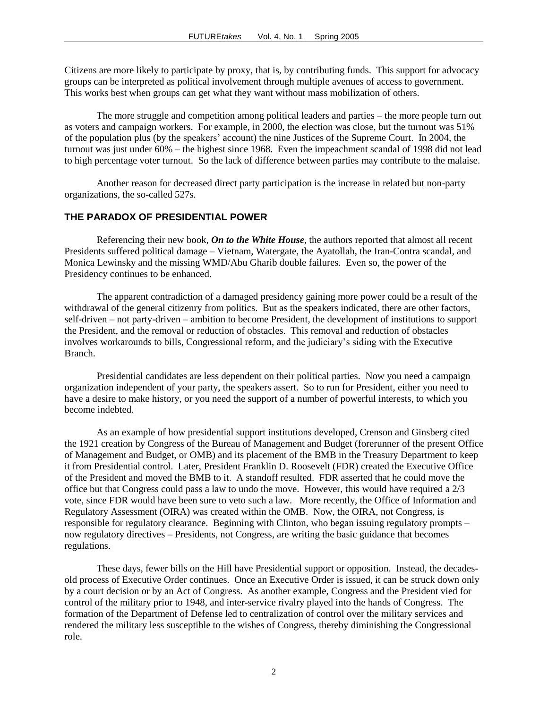Citizens are more likely to participate by proxy, that is, by contributing funds. This support for advocacy groups can be interpreted as political involvement through multiple avenues of access to government. This works best when groups can get what they want without mass mobilization of others.

The more struggle and competition among political leaders and parties – the more people turn out as voters and campaign workers. For example, in 2000, the election was close, but the turnout was 51% of the population plus (by the speakers' account) the nine Justices of the Supreme Court. In 2004, the turnout was just under 60% – the highest since 1968. Even the impeachment scandal of 1998 did not lead to high percentage voter turnout. So the lack of difference between parties may contribute to the malaise.

Another reason for decreased direct party participation is the increase in related but non-party organizations, the so-called 527s.

#### **THE PARADOX OF PRESIDENTIAL POWER**

Referencing their new book*, On to the White House*, the authors reported that almost all recent Presidents suffered political damage – Vietnam, Watergate, the Ayatollah, the Iran-Contra scandal, and Monica Lewinsky and the missing WMD/Abu Gharib double failures. Even so, the power of the Presidency continues to be enhanced.

The apparent contradiction of a damaged presidency gaining more power could be a result of the withdrawal of the general citizenry from politics. But as the speakers indicated, there are other factors, self-driven – not party-driven – ambition to become President, the development of institutions to support the President, and the removal or reduction of obstacles. This removal and reduction of obstacles involves workarounds to bills, Congressional reform, and the judiciary's siding with the Executive Branch.

Presidential candidates are less dependent on their political parties. Now you need a campaign organization independent of your party, the speakers assert. So to run for President, either you need to have a desire to make history, or you need the support of a number of powerful interests, to which you become indebted.

As an example of how presidential support institutions developed, Crenson and Ginsberg cited the 1921 creation by Congress of the Bureau of Management and Budget (forerunner of the present Office of Management and Budget, or OMB) and its placement of the BMB in the Treasury Department to keep it from Presidential control. Later, President Franklin D. Roosevelt (FDR) created the Executive Office of the President and moved the BMB to it. A standoff resulted. FDR asserted that he could move the office but that Congress could pass a law to undo the move. However, this would have required a 2/3 vote, since FDR would have been sure to veto such a law. More recently, the Office of Information and Regulatory Assessment (OIRA) was created within the OMB. Now, the OIRA, not Congress, is responsible for regulatory clearance. Beginning with Clinton, who began issuing regulatory prompts – now regulatory directives – Presidents, not Congress, are writing the basic guidance that becomes regulations.

These days, fewer bills on the Hill have Presidential support or opposition. Instead, the decadesold process of Executive Order continues. Once an Executive Order is issued, it can be struck down only by a court decision or by an Act of Congress. As another example, Congress and the President vied for control of the military prior to 1948, and inter-service rivalry played into the hands of Congress. The formation of the Department of Defense led to centralization of control over the military services and rendered the military less susceptible to the wishes of Congress, thereby diminishing the Congressional role.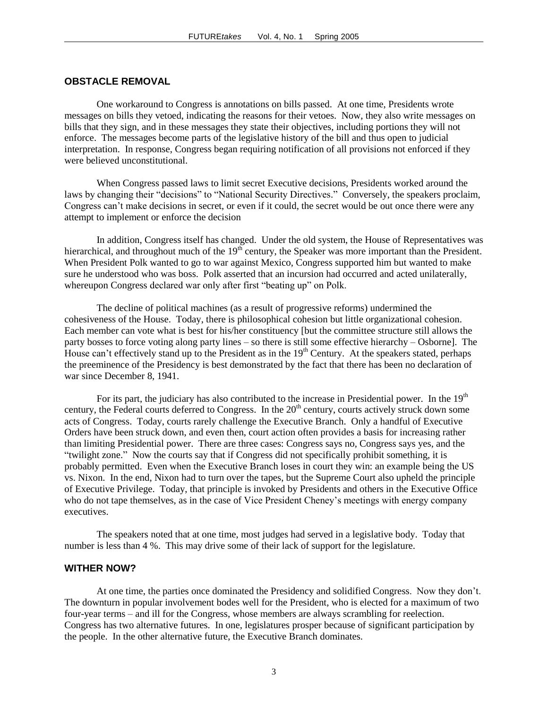#### **OBSTACLE REMOVAL**

One workaround to Congress is annotations on bills passed. At one time, Presidents wrote messages on bills they vetoed, indicating the reasons for their vetoes. Now, they also write messages on bills that they sign, and in these messages they state their objectives, including portions they will not enforce. The messages become parts of the legislative history of the bill and thus open to judicial interpretation. In response, Congress began requiring notification of all provisions not enforced if they were believed unconstitutional.

When Congress passed laws to limit secret Executive decisions, Presidents worked around the laws by changing their "decisions" to "National Security Directives." Conversely, the speakers proclaim, Congress can't make decisions in secret, or even if it could, the secret would be out once there were any attempt to implement or enforce the decision

In addition, Congress itself has changed. Under the old system, the House of Representatives was hierarchical, and throughout much of the  $19<sup>th</sup>$  century, the Speaker was more important than the President. When President Polk wanted to go to war against Mexico, Congress supported him but wanted to make sure he understood who was boss. Polk asserted that an incursion had occurred and acted unilaterally, whereupon Congress declared war only after first "beating up" on Polk.

The decline of political machines (as a result of progressive reforms) undermined the cohesiveness of the House. Today, there is philosophical cohesion but little organizational cohesion. Each member can vote what is best for his/her constituency [but the committee structure still allows the party bosses to force voting along party lines – so there is still some effective hierarchy – Osborne]. The House can't effectively stand up to the President as in the  $19<sup>th</sup>$  Century. At the speakers stated, perhaps the preeminence of the Presidency is best demonstrated by the fact that there has been no declaration of war since December 8, 1941.

For its part, the judiciary has also contributed to the increase in Presidential power. In the  $19<sup>th</sup>$ century, the Federal courts deferred to Congress. In the  $20<sup>th</sup>$  century, courts actively struck down some acts of Congress. Today, courts rarely challenge the Executive Branch. Only a handful of Executive Orders have been struck down, and even then, court action often provides a basis for increasing rather than limiting Presidential power. There are three cases: Congress says no, Congress says yes, and the "twilight zone." Now the courts say that if Congress did not specifically prohibit something, it is probably permitted. Even when the Executive Branch loses in court they win: an example being the US vs. Nixon. In the end, Nixon had to turn over the tapes, but the Supreme Court also upheld the principle of Executive Privilege. Today, that principle is invoked by Presidents and others in the Executive Office who do not tape themselves, as in the case of Vice President Cheney's meetings with energy company executives.

The speakers noted that at one time, most judges had served in a legislative body. Today that number is less than 4 %. This may drive some of their lack of support for the legislature.

#### **WITHER NOW?**

At one time, the parties once dominated the Presidency and solidified Congress. Now they don't. The downturn in popular involvement bodes well for the President, who is elected for a maximum of two four-year terms – and ill for the Congress, whose members are always scrambling for reelection. Congress has two alternative futures. In one, legislatures prosper because of significant participation by the people. In the other alternative future, the Executive Branch dominates.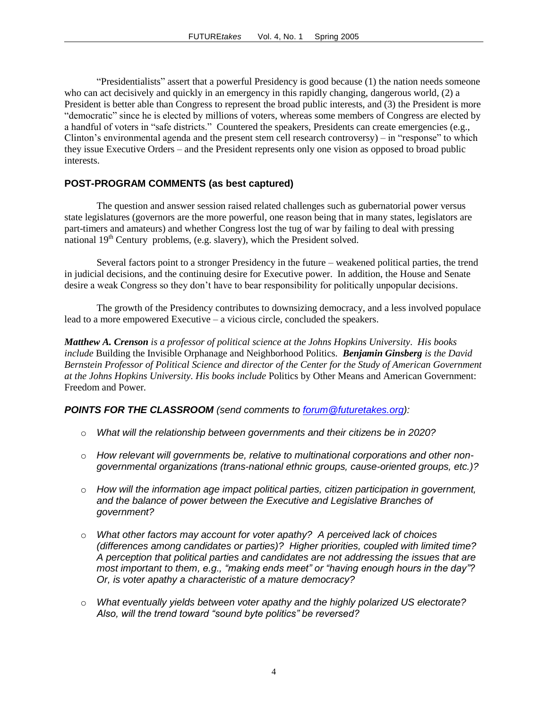"Presidentialists" assert that a powerful Presidency is good because (1) the nation needs someone who can act decisively and quickly in an emergency in this rapidly changing, dangerous world, (2) a President is better able than Congress to represent the broad public interests, and (3) the President is more "democratic" since he is elected by millions of voters, whereas some members of Congress are elected by a handful of voters in "safe districts." Countered the speakers, Presidents can create emergencies (e.g., Clinton's environmental agenda and the present stem cell research controversy) – in "response" to which they issue Executive Orders – and the President represents only one vision as opposed to broad public interests.

### **POST-PROGRAM COMMENTS (as best captured)**

The question and answer session raised related challenges such as gubernatorial power versus state legislatures (governors are the more powerful, one reason being that in many states, legislators are part-timers and amateurs) and whether Congress lost the tug of war by failing to deal with pressing national  $19<sup>th</sup>$  Century problems, (e.g. slavery), which the President solved.

Several factors point to a stronger Presidency in the future – weakened political parties, the trend in judicial decisions, and the continuing desire for Executive power. In addition, the House and Senate desire a weak Congress so they don't have to bear responsibility for politically unpopular decisions.

The growth of the Presidency contributes to downsizing democracy, and a less involved populace lead to a more empowered Executive – a vicious circle, concluded the speakers.

*Matthew A. Crenson is a professor of political science at the Johns Hopkins University. His books include* Building the Invisible Orphanage and Neighborhood Politics*. Benjamin Ginsberg is the David Bernstein Professor of Political Science and director of the Center for the Study of American Government at the Johns Hopkins University. His books include* Politics by Other Means and American Government: Freedom and Power*.*

# *POINTS FOR THE CLASSROOM (send comments to [forum@futuretakes.org\)](mailto:forum@futuretakes.org):*

- o *What will the relationship between governments and their citizens be in 2020?*
- o *How relevant will governments be, relative to multinational corporations and other nongovernmental organizations (trans-national ethnic groups, cause-oriented groups, etc.)?*
- o *How will the information age impact political parties, citizen participation in government, and the balance of power between the Executive and Legislative Branches of government?*
- o *What other factors may account for voter apathy? A perceived lack of choices (differences among candidates or parties)? Higher priorities, coupled with limited time? A perception that political parties and candidates are not addressing the issues that are most important to them, e.g., "making ends meet" or "having enough hours in the day"? Or, is voter apathy a characteristic of a mature democracy?*
- o *What eventually yields between voter apathy and the highly polarized US electorate? Also, will the trend toward "sound byte politics" be reversed?*